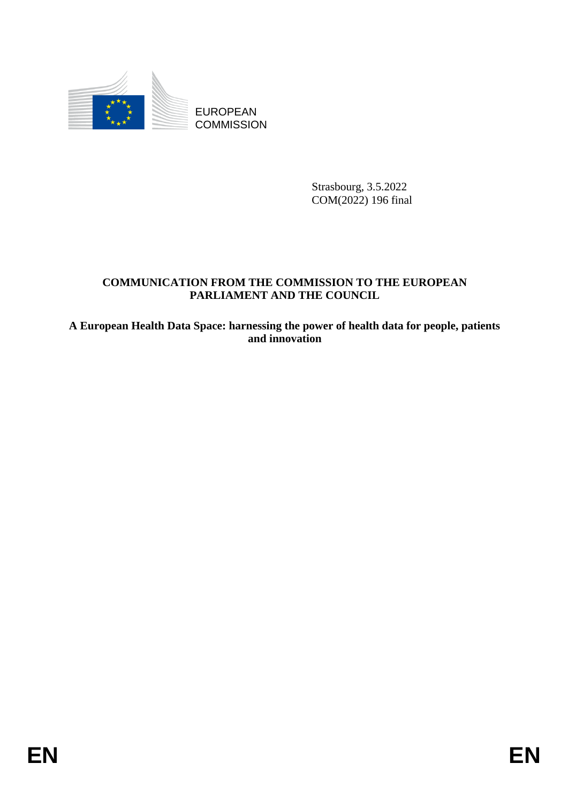

**COMMISSION** 

Strasbourg, 3.5.2022 COM(2022) 196 final

# **COMMUNICATION FROM THE COMMISSION TO THE EUROPEAN PARLIAMENT AND THE COUNCIL**

EUROPEAN<br>
EUROPEAN<br>
ENDERE COMMUNICATION<br>
ENDERE SERVICE COMMUNICATION<br>
FARLIAMENT AND THE COMMISSION TO THE EUROPEAN<br>
FARLIAMENT AND THE COUNCIL<br>
A European Health Data Space: harmonium<br>
and immediation<br>
and immediation<br> **A European Health Data Space: harnessing the power of health data for people, patients and innovation**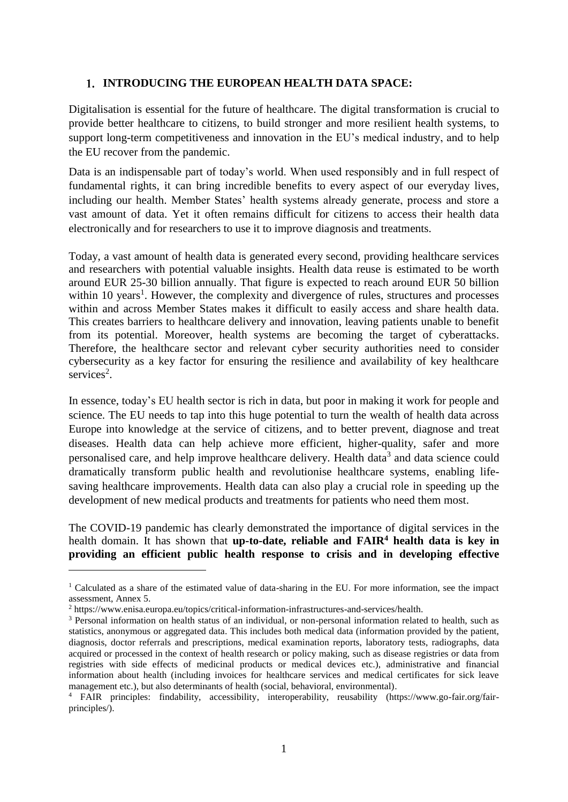### **INTRODUCING THE EUROPEAN HEALTH DATA SPACE:**

Digitalisation is essential for the future of healthcare. The digital transformation is crucial to provide better healthcare to citizens, to build stronger and more resilient health systems, to support long-term competitiveness and innovation in the EU's medical industry, and to help the EU recover from the pandemic.

Data is an indispensable part of today's world. When used responsibly and in full respect of fundamental rights, it can bring incredible benefits to every aspect of our everyday lives, including our health. Member States' health systems already generate, process and store a vast amount of data. Yet it often remains difficult for citizens to access their health data electronically and for researchers to use it to improve diagnosis and treatments.

Today, a vast amount of health data is generated every second, providing healthcare services and researchers with potential valuable insights. Health data reuse is estimated to be worth around EUR 25-30 billion annually. That figure is expected to reach around EUR 50 billion within 10 years<sup>1</sup>. However, the complexity and divergence of rules, structures and processes within and across Member States makes it difficult to easily access and share health data. This creates barriers to healthcare delivery and innovation, leaving patients unable to benefit from its potential. Moreover, health systems are becoming the target of cyberattacks. Therefore, the healthcare sector and relevant cyber security authorities need to consider cybersecurity as a key factor for ensuring the resilience and availability of key healthcare services<sup>2</sup>.

In essence, today's EU health sector is rich in data, but poor in making it work for people and science. The EU needs to tap into this huge potential to turn the wealth of health data across Europe into knowledge at the service of citizens, and to better prevent, diagnose and treat diseases. Health data can help achieve more efficient, higher-quality, safer and more personalised care, and help improve healthcare delivery. Health data<sup>3</sup> and data science could dramatically transform public health and revolutionise healthcare systems, enabling lifesaving healthcare improvements. Health data can also play a crucial role in speeding up the development of new medical products and treatments for patients who need them most.

The COVID-19 pandemic has clearly demonstrated the importance of digital services in the health domain. It has shown that **up-to-date, reliable and FAIR<sup>4</sup> health data is key in providing an efficient public health response to crisis and in developing effective** 

<sup>&</sup>lt;sup>1</sup> Calculated as a share of the estimated value of data-sharing in the EU. For more information, see the impact assessment, Annex 5.

<sup>2</sup> https://www.enisa.europa.eu/topics/critical-information-infrastructures-and-services/health.

<sup>&</sup>lt;sup>3</sup> Personal information on health status of an individual, or non-personal information related to health, such as statistics, anonymous or aggregated data. This includes both medical data (information provided by the patient, diagnosis, doctor referrals and prescriptions, medical examination reports, laboratory tests, radiographs, data acquired or processed in the context of health research or policy making, such as disease registries or data from registries with side effects of medicinal products or medical devices etc.), administrative and financial information about health (including invoices for healthcare services and medical certificates for sick leave management etc.), but also determinants of health (social, behavioral, environmental).

<sup>4</sup> FAIR principles: findability, accessibility, interoperability, reusability (https://www.go-fair.org/fairprinciples/).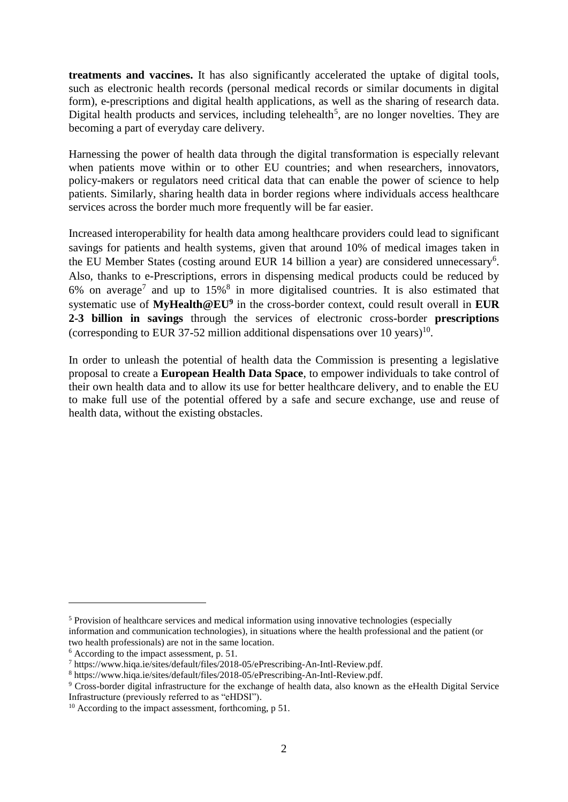**treatments and vaccines.** It has also significantly accelerated the uptake of digital tools, such as electronic health records (personal medical records or similar documents in digital form), e-prescriptions and digital health applications, as well as the sharing of research data. Digital health products and services, including telehealth<sup>5</sup>, are no longer novelties. They are becoming a part of everyday care delivery.

Harnessing the power of health data through the digital transformation is especially relevant when patients move within or to other EU countries; and when researchers, innovators, policy-makers or regulators need critical data that can enable the power of science to help patients. Similarly, sharing health data in border regions where individuals access healthcare services across the border much more frequently will be far easier.

Increased interoperability for health data among healthcare providers could lead to significant savings for patients and health systems, given that around 10% of medical images taken in the EU Member States (costing around EUR 14 billion a year) are considered unnecessary<sup>6</sup>. Also, thanks to e-Prescriptions, errors in dispensing medical products could be reduced by 6% on average<sup>7</sup> and up to  $15\%$ <sup>8</sup> in more digitalised countries. It is also estimated that systematic use of **MyHealth@EU<sup>9</sup>** in the cross-border context, could result overall in **EUR 2-3 billion in savings** through the services of electronic cross-border **prescriptions** (corresponding to EUR 37-52 million additional dispensations over 10 years)<sup>10</sup>.

In order to unleash the potential of health data the Commission is presenting a legislative proposal to create a **European Health Data Space**, to empower individuals to take control of their own health data and to allow its use for better healthcare delivery, and to enable the EU to make full use of the potential offered by a safe and secure exchange, use and reuse of health data, without the existing obstacles.

1

<sup>5</sup> Provision of healthcare services and medical information using innovative technologies (especially information and communication technologies), in situations where the health professional and the patient (or two health professionals) are not in the same location.

 $6$  According to the impact assessment, p. 51.

<sup>7</sup> https://www.hiqa.ie/sites/default/files/2018-05/ePrescribing-An-Intl-Review.pdf.

<sup>8</sup> [https://www.hiqa.ie/sites/default/files/2018-05/ePrescribing-An-Intl-Review.pdf.](https://www.hiqa.ie/sites/default/files/2018-05/ePrescribing-An-Intl-Review.pdf)

<sup>9</sup> Cross-border digital infrastructure for the exchange of health data, also known as the eHealth Digital Service Infrastructure (previously referred to as "eHDSI").

<sup>&</sup>lt;sup>10</sup> According to the impact assessment, forthcoming, p 51.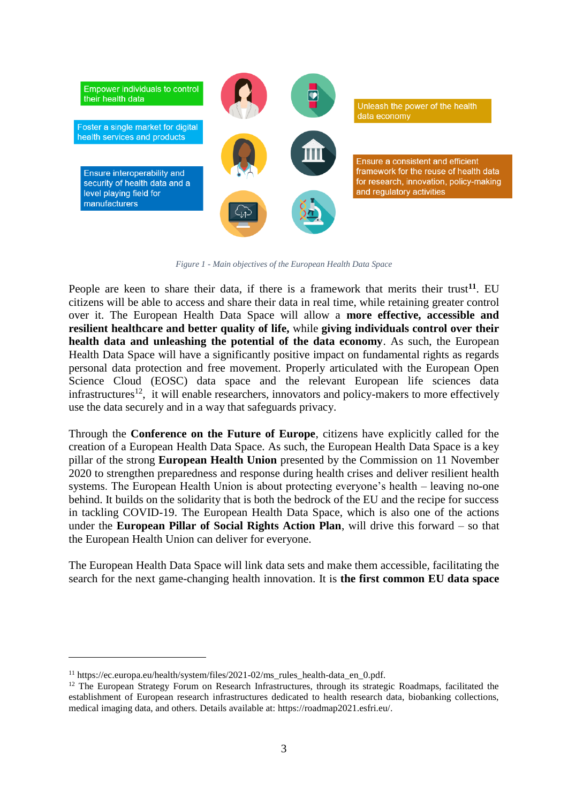

*Figure 1 - Main objectives of the European Health Data Space*

People are keen to share their data, if there is a framework that merits their trust<sup>11</sup>. EU citizens will be able to access and share their data in real time, while retaining greater control over it. The European Health Data Space will allow a **more effective, accessible and resilient healthcare and better quality of life,** while **giving individuals control over their health data and unleashing the potential of the data economy**. As such, the European Health Data Space will have a significantly positive impact on fundamental rights as regards personal data protection and free movement. Properly articulated with the European Open Science Cloud (EOSC) data space and the relevant European life sciences data infrastructures<sup>12</sup>, it will enable researchers, innovators and policy-makers to more effectively use the data securely and in a way that safeguards privacy.

Through the **Conference on the Future of Europe**, citizens have explicitly called for the creation of a European Health Data Space. As such, the European Health Data Space is a key pillar of the strong **European Health Union** presented by the Commission on 11 November 2020 to strengthen preparedness and response during health crises and deliver resilient health systems. The European Health Union is about protecting everyone's health – leaving no-one behind. It builds on the solidarity that is both the bedrock of the EU and the recipe for success in tackling COVID-19. The European Health Data Space, which is also one of the actions under the **European Pillar of Social Rights Action Plan**, will drive this forward – so that the European Health Union can deliver for everyone.

The European Health Data Space will link data sets and make them accessible, facilitating the search for the next game-changing health innovation. It is **the first common EU data space**

<sup>&</sup>lt;sup>11</sup> https://ec.europa.eu/health/system/files/2021-02/ms\_rules\_health-data\_en\_0.pdf.

<sup>&</sup>lt;sup>12</sup> The European Strategy Forum on Research Infrastructures, through its strategic Roadmaps, facilitated the establishment of European research infrastructures dedicated to health research data, biobanking collections, medical imaging data, and others. Details available at: https://roadmap2021.esfri.eu/.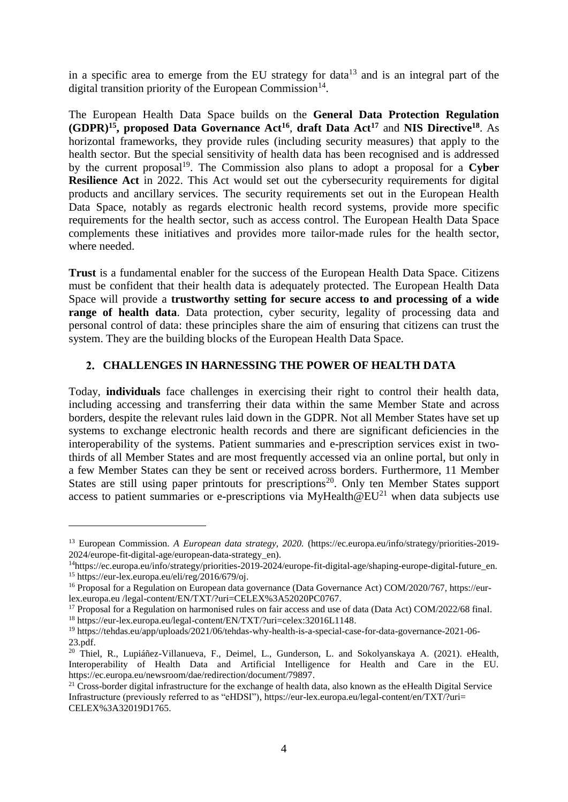in a specific area to emerge from the EU strategy for data<sup>13</sup> and is an integral part of the digital transition priority of the European Commission<sup>14</sup>.

The European Health Data Space builds on the **General Data Protection Regulation (GDPR)<sup>15</sup> , proposed Data Governance Act<sup>16</sup>** , **draft Data Act<sup>17</sup>** and **NIS Directive<sup>18</sup>**. As horizontal frameworks, they provide rules (including security measures) that apply to the health sector. But the special sensitivity of health data has been recognised and is addressed by the current proposal<sup>19</sup>. The Commission also plans to adopt a proposal for a Cyber **Resilience Act** in 2022. This Act would set out the cybersecurity requirements for digital products and ancillary services. The security requirements set out in the European Health Data Space, notably as regards electronic health record systems, provide more specific requirements for the health sector, such as access control. The European Health Data Space complements these initiatives and provides more tailor-made rules for the health sector, where needed.

**Trust** is a fundamental enabler for the success of the European Health Data Space. Citizens must be confident that their health data is adequately protected. The European Health Data Space will provide a **trustworthy setting for secure access to and processing of a wide range of health data**. Data protection, cyber security, legality of processing data and personal control of data: these principles share the aim of ensuring that citizens can trust the system. They are the building blocks of the European Health Data Space.

### **CHALLENGES IN HARNESSING THE POWER OF HEALTH DATA**

Today, **individuals** face challenges in exercising their right to control their health data, including accessing and transferring their data within the same Member State and across borders, despite the relevant rules laid down in the GDPR. Not all Member States have set up systems to exchange electronic health records and there are significant deficiencies in the interoperability of the systems. Patient summaries and e-prescription services exist in twothirds of all Member States and are most frequently accessed via an online portal, but only in a few Member States can they be sent or received across borders. Furthermore, 11 Member States are still using paper printouts for prescriptions<sup>20</sup>. Only ten Member States support access to patient summaries or e-prescriptions via MyHealth@EU<sup>21</sup> when data subjects use

<sup>13</sup> European Commission. *A European data strategy, 2020.* [\(https://ec.europa.eu/info/strategy/priorities-2019-](https://ec.europa.eu/info/strategy/priorities-2019-2024/europe-fit-digital-age/european-data-strategy_en) [2024/europe-fit-digital-age/european-data-strategy\\_en\)](https://ec.europa.eu/info/strategy/priorities-2019-2024/europe-fit-digital-age/european-data-strategy_en).

<sup>14</sup>https://ec.europa.eu/info/strategy/priorities-2019-2024/europe-fit-digital-age/shaping-europe-digital-future\_en. <sup>15</sup> [https://eur-lex.europa.eu/eli/reg/2016/679/oj.](https://eur-lex.europa.eu/eli/reg/2016/679/oj)

<sup>&</sup>lt;sup>16</sup> Proposal for a Regulation on European data governance (Data Governance Act) COM/2020/767, https://eurlex.europa.eu /legal-content/EN/TXT/?uri=CELEX%3A52020PC0767.

<sup>&</sup>lt;sup>17</sup> Proposal for a Regulation on harmonised rules on fair access and use of data (Data Act) COM/2022/68 final. <sup>18</sup> [https://eur-lex.europa.eu/legal-content/EN/TXT/?uri=celex:32016L1148.](https://eur-lex.europa.eu/legal-content/EN/TXT/?uri=celex:32016L1148)

<sup>19</sup> [https://tehdas.eu/app/uploads/2021/06/tehdas-why-health-is-a-special-case-for-data-governance-2021-06-](https://tehdas.eu/app/uploads/2021/06/tehdas-why-health-is-a-special-case-for-data-governance-2021-06-23.pdf) [23.pdf.](https://tehdas.eu/app/uploads/2021/06/tehdas-why-health-is-a-special-case-for-data-governance-2021-06-23.pdf)

<sup>&</sup>lt;sup>20</sup> Thiel, R., Lupiáñez-Villanueva, F., Deimel, L., Gunderson, L. and Sokolyanskaya A. (2021). eHealth, Interoperability of Health Data and Artificial Intelligence for Health and Care in the EU. [https://ec.europa.eu/newsroom/dae/redirection/document/79897.](https://ec.europa.eu/newsroom/dae/redirection/document/79897)

 $21$  Cross-border digital infrastructure for the exchange of health data, also known as the eHealth Digital Service Infrastructure (previously referred to as "eHDSI"), [https://eur-lex.europa.eu/legal-content/en/TXT/?uri=](https://eur-lex.europa.eu/legal-content/en/TXT/?uri=%20CELEX%3A32019D1765.)  [CELEX%3A32019D1765.](https://eur-lex.europa.eu/legal-content/en/TXT/?uri=%20CELEX%3A32019D1765.)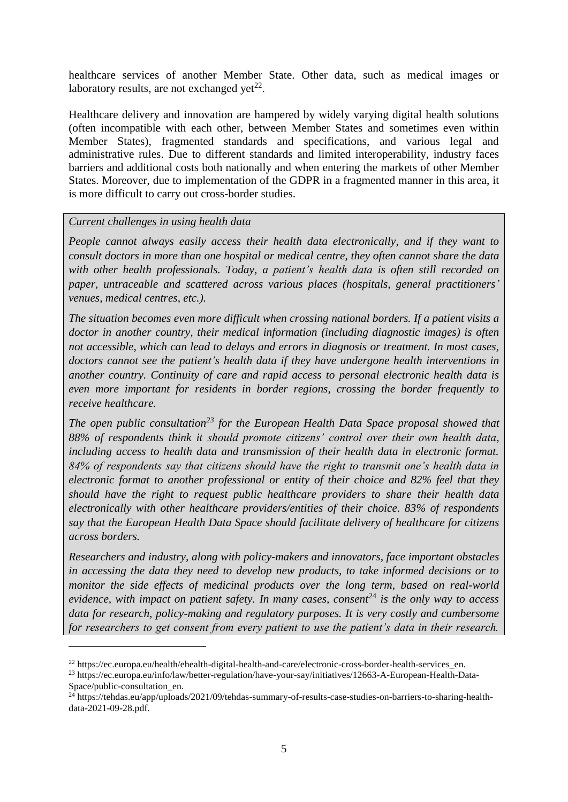healthcare services of another Member State. Other data, such as medical images or laboratory results, are not exchanged yet<sup>22</sup>.

Healthcare delivery and innovation are hampered by widely varying digital health solutions (often incompatible with each other, between Member States and sometimes even within Member States), fragmented standards and specifications, and various legal and administrative rules. Due to different standards and limited interoperability, industry faces barriers and additional costs both nationally and when entering the markets of other Member States. Moreover, due to implementation of the GDPR in a fragmented manner in this area, it is more difficult to carry out cross-border studies.

#### *Current challenges in using health data*

1

*People cannot always easily access their health data electronically, and if they want to consult doctors in more than one hospital or medical centre, they often cannot share the data with other health professionals. Today, a patient's health data is often still recorded on paper, untraceable and scattered across various places (hospitals, general practitioners' venues, medical centres, etc.).*

*The situation becomes even more difficult when crossing national borders. If a patient visits a doctor in another country, their medical information (including diagnostic images) is often not accessible, which can lead to delays and errors in diagnosis or treatment. In most cases, doctors cannot see the patient's health data if they have undergone health interventions in another country. Continuity of care and rapid access to personal electronic health data is even more important for residents in border regions, crossing the border frequently to receive healthcare.*

*The open public consultation<sup>23</sup> for the European Health Data Space proposal showed that 88% of respondents think it should promote citizens' control over their own health data, including access to health data and transmission of their health data in electronic format. 84% of respondents say that citizens should have the right to transmit one's health data in electronic format to another professional or entity of their choice and 82% feel that they should have the right to request public healthcare providers to share their health data electronically with other healthcare providers/entities of their choice. 83% of respondents say that the European Health Data Space should facilitate delivery of healthcare for citizens across borders.*

*Researchers and industry, along with policy-makers and innovators, face important obstacles in accessing the data they need to develop new products, to take informed decisions or to monitor the side effects of medicinal products over the long term, based on real-world evidence, with impact on patient safety. In many cases, consent*<sup>24</sup> *is the only way to access data for research, policy-making and regulatory purposes. It is very costly and cumbersome for researchers to get consent from every patient to use the patient's data in their research.*

<sup>&</sup>lt;sup>22</sup> https://ec.europa.eu/health/ehealth-digital-health-and-care/electronic-cross-border-health-services en.

<sup>23</sup> https://ec.europa.eu/info/law/better-regulation/have-your-say/initiatives/12663-A-European-Health-Data-Space/public-consultation\_en.

<sup>&</sup>lt;sup>24</sup> [https://tehdas.eu/app/uploads/2021/09/tehdas-summary-of-results-case-studies-on-barriers-to-sharing-health](https://tehdas.eu/app/uploads/2021/09/tehdas-summary-of-results-case-studies-on-barriers-to-sharing-health-data-2021-09-28.pdf)[data-2021-09-28.pdf.](https://tehdas.eu/app/uploads/2021/09/tehdas-summary-of-results-case-studies-on-barriers-to-sharing-health-data-2021-09-28.pdf)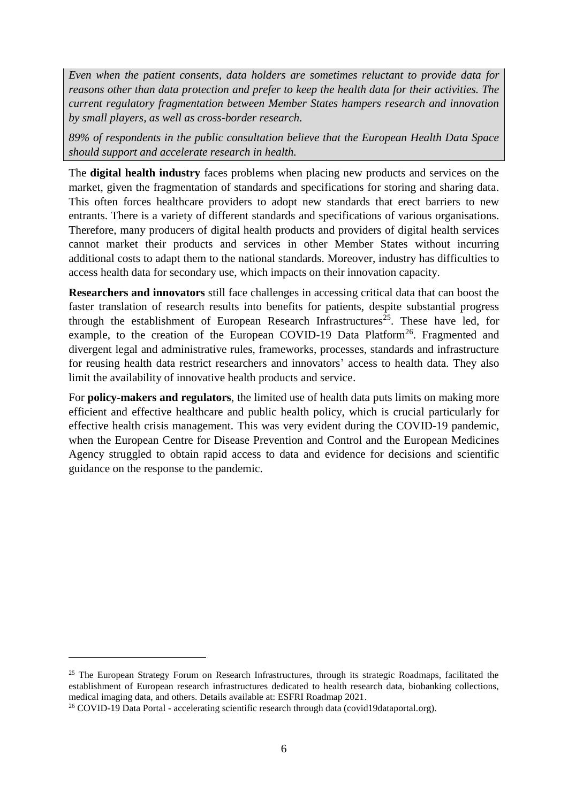*Even when the patient consents, data holders are sometimes reluctant to provide data for reasons other than data protection and prefer to keep the health data for their activities. The current regulatory fragmentation between Member States hampers research and innovation by small players, as well as cross-border research.*

*89% of respondents in the public consultation believe that the European Health Data Space should support and accelerate research in health.*

The **digital health industry** faces problems when placing new products and services on the market, given the fragmentation of standards and specifications for storing and sharing data. This often forces healthcare providers to adopt new standards that erect barriers to new entrants. There is a variety of different standards and specifications of various organisations. Therefore, many producers of digital health products and providers of digital health services cannot market their products and services in other Member States without incurring additional costs to adapt them to the national standards. Moreover, industry has difficulties to access health data for secondary use, which impacts on their innovation capacity.

**Researchers and innovators** still face challenges in accessing critical data that can boost the faster translation of research results into benefits for patients, despite substantial progress through the establishment of European Research Infrastructures<sup>25</sup>. These have led, for example, to the creation of the European COVID-19 Data Platform<sup>26</sup>. Fragmented and divergent legal and administrative rules, frameworks, processes, standards and infrastructure for reusing health data restrict researchers and innovators' access to health data. They also limit the availability of innovative health products and service.

For **policy-makers and regulators**, the limited use of health data puts limits on making more efficient and effective healthcare and public health policy, which is crucial particularly for effective health crisis management. This was very evident during the COVID-19 pandemic, when the European Centre for Disease Prevention and Control and the European Medicines Agency struggled to obtain rapid access to data and evidence for decisions and scientific guidance on the response to the pandemic.

<sup>&</sup>lt;sup>25</sup> The European Strategy Forum on Research Infrastructures, through its strategic Roadmaps, facilitated the establishment of European research infrastructures dedicated to health research data, biobanking collections, medical imaging data, and others. Details available at: ESFRI Roadmap 2021.

<sup>&</sup>lt;sup>26</sup> COVID-19 Data Portal - accelerating scientific research through data (covid19dataportal.org).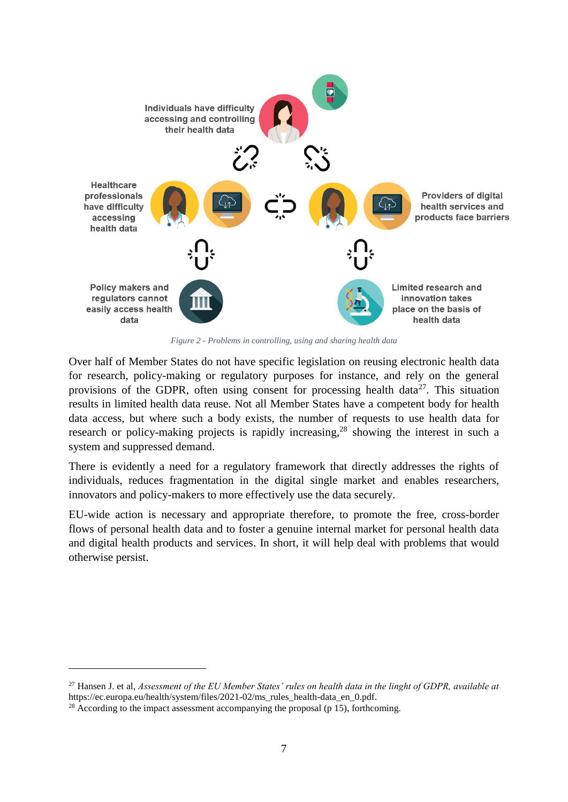

*Figure 2 - Problems in controlling, using and sharing health data*

Over half of Member States do not have specific legislation on reusing electronic health data for research, policy-making or regulatory purposes for instance, and rely on the general provisions of the GDPR, often using consent for processing health data<sup>27</sup>. This situation results in limited health data reuse. Not all Member States have a competent body for health data access, but where such a body exists, the number of requests to use health data for research or policy-making projects is rapidly increasing,<sup>28</sup> showing the interest in such a system and suppressed demand.

There is evidently a need for a regulatory framework that directly addresses the rights of individuals, reduces fragmentation in the digital single market and enables researchers, innovators and policy-makers to more effectively use the data securely.

EU-wide action is necessary and appropriate therefore, to promote the free, cross-border flows of personal health data and to foster a genuine internal market for personal health data and digital health products and services. In short, it will help deal with problems that would otherwise persist.

<sup>27</sup> Hansen J. et al, *Assessment of the EU Member States' rules on health data in the linght of GDPR, available at*  [https://ec.europa.eu/health/system/files/2021-02/ms\\_rules\\_health-data\\_en\\_0.pdf.](https://ec.europa.eu/health/system/files/2021-02/ms_rules_health-data_en_0.pdf)

<sup>&</sup>lt;sup>28</sup> According to the impact assessment accompanying the proposal (p 15), forthcoming.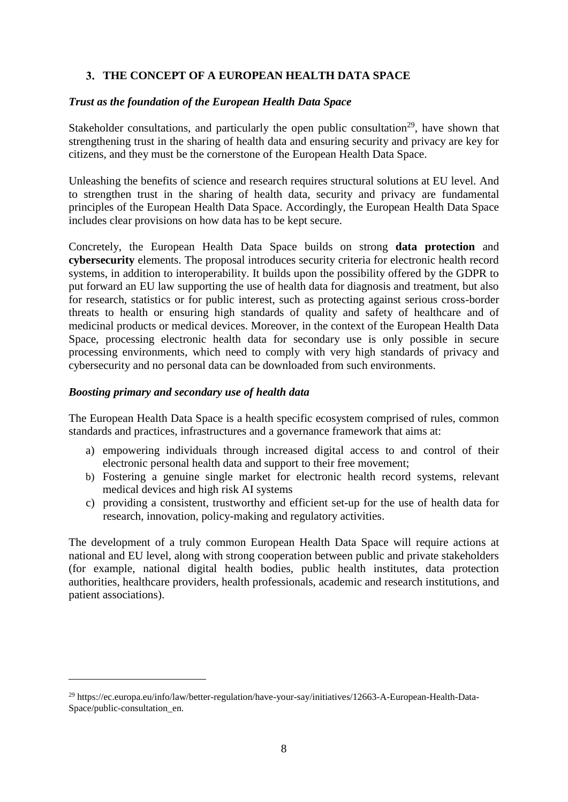## **THE CONCEPT OF A EUROPEAN HEALTH DATA SPACE**

### *Trust as the foundation of the European Health Data Space*

Stakeholder consultations, and particularly the open public consultation<sup>29</sup>, have shown that strengthening trust in the sharing of health data and ensuring security and privacy are key for citizens, and they must be the cornerstone of the European Health Data Space.

Unleashing the benefits of science and research requires structural solutions at EU level. And to strengthen trust in the sharing of health data, security and privacy are fundamental principles of the European Health Data Space. Accordingly, the European Health Data Space includes clear provisions on how data has to be kept secure.

Concretely, the European Health Data Space builds on strong **data protection** and **cybersecurity** elements. The proposal introduces security criteria for electronic health record systems, in addition to interoperability. It builds upon the possibility offered by the GDPR to put forward an EU law supporting the use of health data for diagnosis and treatment, but also for research, statistics or for public interest, such as protecting against serious cross-border threats to health or ensuring high standards of quality and safety of healthcare and of medicinal products or medical devices. Moreover, in the context of the European Health Data Space, processing electronic health data for secondary use is only possible in secure processing environments, which need to comply with very high standards of privacy and cybersecurity and no personal data can be downloaded from such environments.

### *Boosting primary and secondary use of health data*

1

The European Health Data Space is a health specific ecosystem comprised of rules, common standards and practices, infrastructures and a governance framework that aims at:

- a) empowering individuals through increased digital access to and control of their electronic personal health data and support to their free movement;
- b) Fostering a genuine single market for electronic health record systems, relevant medical devices and high risk AI systems
- c) providing a consistent, trustworthy and efficient set-up for the use of health data for research, innovation, policy-making and regulatory activities.

The development of a truly common European Health Data Space will require actions at national and EU level, along with strong cooperation between public and private stakeholders (for example, national digital health bodies, public health institutes, data protection authorities, healthcare providers, health professionals, academic and research institutions, and patient associations).

<sup>29</sup> https://ec.europa.eu/info/law/better-regulation/have-your-say/initiatives/12663-A-European-Health-Data-Space/public-consultation\_en.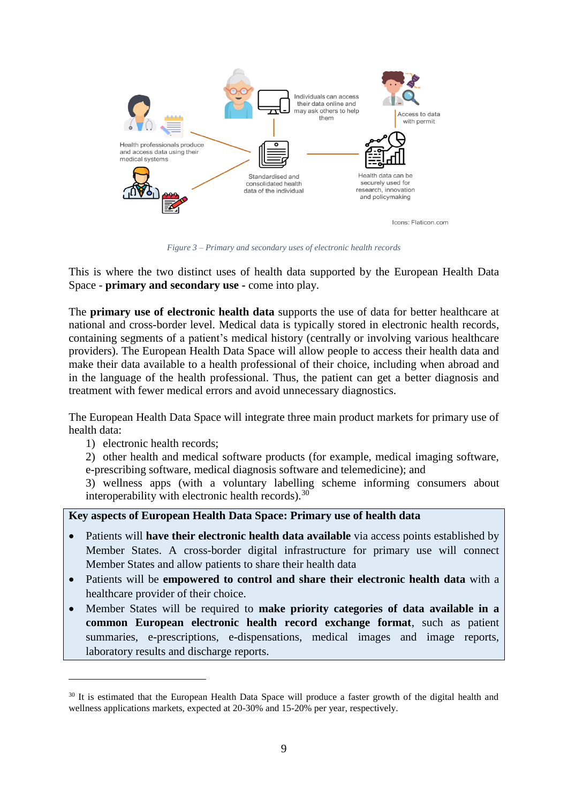

*Figure 3 – Primary and secondary uses of electronic health records* 

This is where the two distinct uses of health data supported by the European Health Data Space - **primary and secondary use -** come into play.

The **primary use of electronic health data** supports the use of data for better healthcare at national and cross-border level. Medical data is typically stored in electronic health records, containing segments of a patient's medical history (centrally or involving various healthcare providers). The European Health Data Space will allow people to access their health data and make their data available to a health professional of their choice, including when abroad and in the language of the health professional. Thus, the patient can get a better diagnosis and treatment with fewer medical errors and avoid unnecessary diagnostics.

The European Health Data Space will integrate three main product markets for primary use of health data:

1) electronic health records;

1

2) other health and medical software products (for example, medical imaging software, e-prescribing software, medical diagnosis software and telemedicine); and

3) wellness apps (with a voluntary labelling scheme informing consumers about interoperability with electronic health records).<sup>30</sup>

**Key aspects of European Health Data Space: Primary use of health data**

- Patients will **have their electronic health data available** via access points established by Member States. A cross-border digital infrastructure for primary use will connect Member States and allow patients to share their health data
- Patients will be **empowered to control and share their electronic health data** with a healthcare provider of their choice.
- Member States will be required to **make priority categories of data available in a common European electronic health record exchange format**, such as patient summaries, e-prescriptions, e-dispensations, medical images and image reports, laboratory results and discharge reports.

<sup>&</sup>lt;sup>30</sup> It is estimated that the European Health Data Space will produce a faster growth of the digital health and wellness applications markets, expected at 20-30% and 15-20% per year, respectively.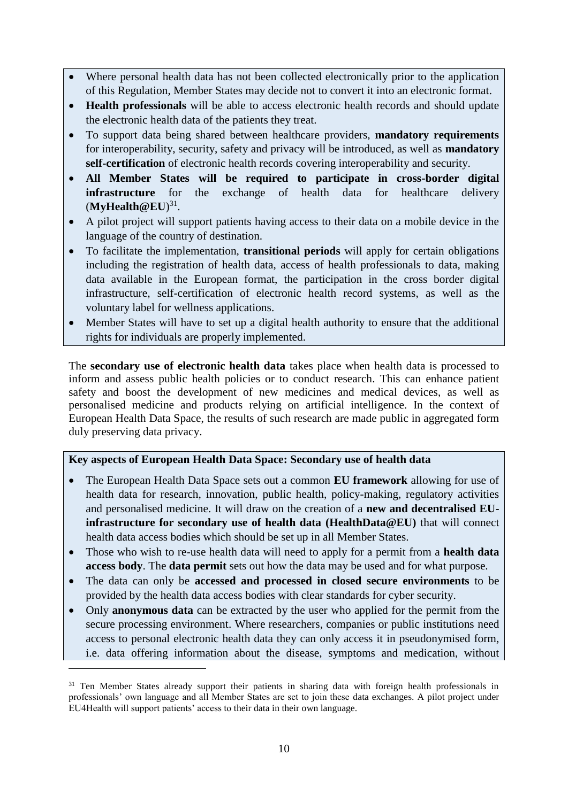- Where personal health data has not been collected electronically prior to the application of this Regulation, Member States may decide not to convert it into an electronic format.
- **Health professionals** will be able to access electronic health records and should update the electronic health data of the patients they treat.
- To support data being shared between healthcare providers, **mandatory requirements** for interoperability, security, safety and privacy will be introduced, as well as **mandatory self-certification** of electronic health records covering interoperability and security.
- **All Member States will be required to participate in cross-border digital infrastructure** for the exchange of health data for healthcare delivery (**MyHealth@EU**) 31 .
- A pilot project will support patients having access to their data on a mobile device in the language of the country of destination.
- To facilitate the implementation, **transitional periods** will apply for certain obligations including the registration of health data, access of health professionals to data, making data available in the European format, the participation in the cross border digital infrastructure, self-certification of electronic health record systems, as well as the voluntary label for wellness applications.
- Member States will have to set up a digital health authority to ensure that the additional rights for individuals are properly implemented.

The **secondary use of electronic health data** takes place when health data is processed to inform and assess public health policies or to conduct research. This can enhance patient safety and boost the development of new medicines and medical devices, as well as personalised medicine and products relying on artificial intelligence. In the context of European Health Data Space, the results of such research are made public in aggregated form duly preserving data privacy.

## **Key aspects of European Health Data Space: Secondary use of health data**

- The European Health Data Space sets out a common **EU framework** allowing for use of health data for research, innovation, public health, policy-making, regulatory activities and personalised medicine. It will draw on the creation of a **new and decentralised EUinfrastructure for secondary use of health data (HealthData@EU)** that will connect health data access bodies which should be set up in all Member States.
- Those who wish to re-use health data will need to apply for a permit from a **health data access body**. The **data permit** sets out how the data may be used and for what purpose.
- The data can only be **accessed and processed in closed secure environments** to be provided by the health data access bodies with clear standards for cyber security.
- Only **anonymous data** can be extracted by the user who applied for the permit from the secure processing environment. Where researchers, companies or public institutions need access to personal electronic health data they can only access it in pseudonymised form, i.e. data offering information about the disease, symptoms and medication, without

<sup>&</sup>lt;sup>31</sup> Ten Member States already support their patients in sharing data with foreign health professionals in professionals' own language and all Member States are set to join these data exchanges. A pilot project under EU4Health will support patients' access to their data in their own language.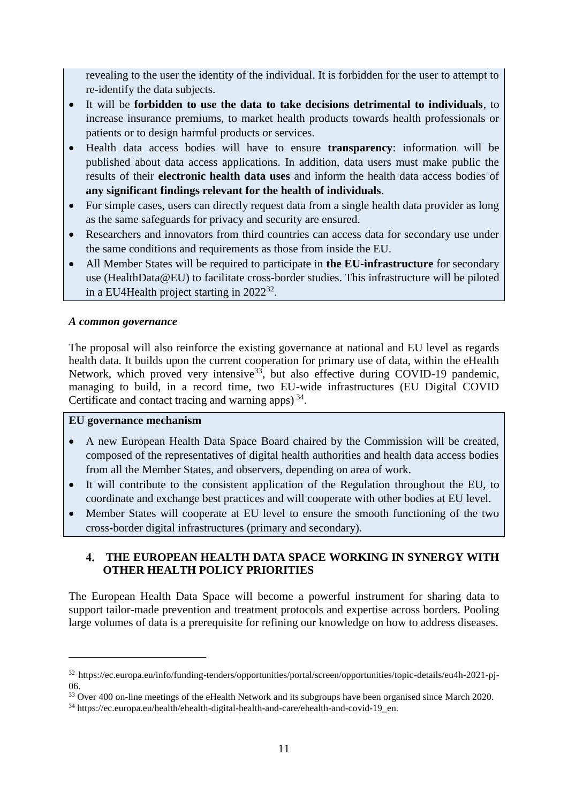revealing to the user the identity of the individual. It is forbidden for the user to attempt to re-identify the data subjects.

- It will be **forbidden to use the data to take decisions detrimental to individuals**, to increase insurance premiums, to market health products towards health professionals or patients or to design harmful products or services.
- Health data access bodies will have to ensure **transparency**: information will be published about data access applications. In addition, data users must make public the results of their **electronic health data uses** and inform the health data access bodies of **any significant findings relevant for the health of individuals**.
- For simple cases, users can directly request data from a single health data provider as long as the same safeguards for privacy and security are ensured.
- Researchers and innovators from third countries can access data for secondary use under the same conditions and requirements as those from inside the EU.
- All Member States will be required to participate in **the EU-infrastructure** for secondary use (HealthData@EU) to facilitate cross-border studies. This infrastructure will be piloted in a EU4Health project starting in 2022<sup>32</sup>.

## *A common governance*

The proposal will also reinforce the existing governance at national and EU level as regards health data. It builds upon the current cooperation for primary use of data, within the eHealth Network, which proved very intensive<sup>33</sup>, but also effective during COVID-19 pandemic, managing to build, in a record time, two EU-wide infrastructures (EU Digital COVID Certificate and contact tracing and warning apps)<sup>34</sup>.

#### **EU governance mechanism**

<u>.</u>

- A new European Health Data Space Board chaired by the Commission will be created, composed of the representatives of digital health authorities and health data access bodies from all the Member States, and observers, depending on area of work.
- It will contribute to the consistent application of the Regulation throughout the EU, to coordinate and exchange best practices and will cooperate with other bodies at EU level.
- Member States will cooperate at EU level to ensure the smooth functioning of the two cross-border digital infrastructures (primary and secondary).

# **THE EUROPEAN HEALTH DATA SPACE WORKING IN SYNERGY WITH OTHER HEALTH POLICY PRIORITIES**

The European Health Data Space will become a powerful instrument for sharing data to support tailor-made prevention and treatment protocols and expertise across borders. Pooling large volumes of data is a prerequisite for refining our knowledge on how to address diseases.

<sup>32</sup> [https://ec.europa.eu/info/funding-tenders/opportunities/portal/screen/opportunities/topic-details/eu4h-2021-pj-](https://ec.europa.eu/info/funding-tenders/opportunities/portal/screen/opportunities/topic-details/eu4h-2021-pj-06)[06.](https://ec.europa.eu/info/funding-tenders/opportunities/portal/screen/opportunities/topic-details/eu4h-2021-pj-06)

<sup>&</sup>lt;sup>33</sup> Over 400 on-line meetings of the eHealth Network and its subgroups have been organised since March 2020.

<sup>&</sup>lt;sup>34</sup> https://ec.europa.eu/health/ehealth-digital-health-and-care/ehealth-and-covid-19 en.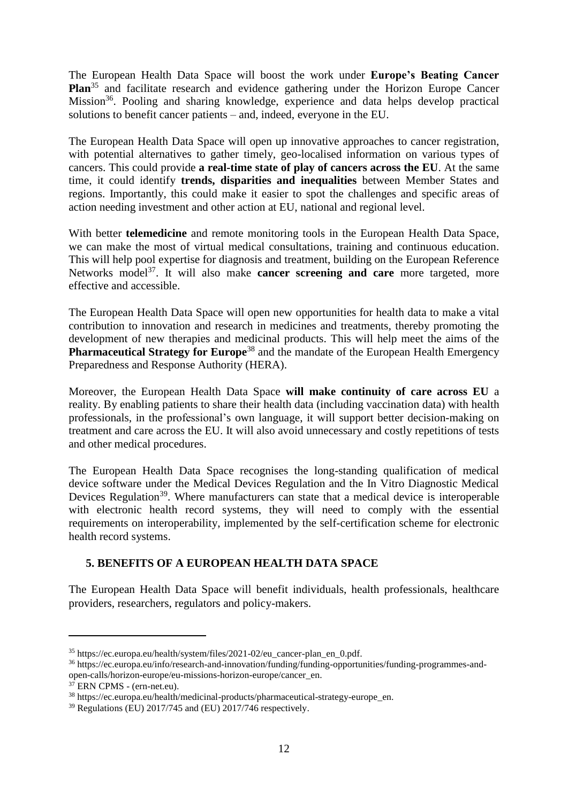The European Health Data Space will boost the work under **Europe's Beating Cancer Plan**<sup>35</sup> and facilitate research and evidence gathering under the Horizon Europe Cancer Mission<sup>36</sup>. Pooling and sharing knowledge, experience and data helps develop practical solutions to benefit cancer patients – and, indeed, everyone in the EU.

The European Health Data Space will open up innovative approaches to cancer registration, with potential alternatives to gather timely, geo-localised information on various types of cancers. This could provide **a real-time state of play of cancers across the EU**. At the same time, it could identify **trends, disparities and inequalities** between Member States and regions. Importantly, this could make it easier to spot the challenges and specific areas of action needing investment and other action at EU, national and regional level.

With better **telemedicine** and remote monitoring tools in the European Health Data Space, we can make the most of virtual medical consultations, training and continuous education. This will help pool expertise for diagnosis and treatment, building on the European Reference Networks model<sup>37</sup>. It will also make **cancer screening and care** more targeted, more effective and accessible.

The European Health Data Space will open new opportunities for health data to make a vital contribution to innovation and research in medicines and treatments, thereby promoting the development of new therapies and medicinal products. This will help meet the aims of the **Pharmaceutical Strategy for Europe<sup>38</sup>** and the mandate of the European Health Emergency Preparedness and Response Authority (HERA).

Moreover, the European Health Data Space **will make continuity of care across EU** a reality. By enabling patients to share their health data (including vaccination data) with health professionals, in the professional's own language, it will support better decision-making on treatment and care across the EU. It will also avoid unnecessary and costly repetitions of tests and other medical procedures.

The European Health Data Space recognises the long-standing qualification of medical device software under the Medical Devices Regulation and the In Vitro Diagnostic Medical Devices Regulation<sup>39</sup>. Where manufacturers can state that a medical device is interoperable with electronic health record systems, they will need to comply with the essential requirements on interoperability, implemented by the self-certification scheme for electronic health record systems.

# **5. BENEFITS OF A EUROPEAN HEALTH DATA SPACE**

The European Health Data Space will benefit individuals, health professionals, healthcare providers, researchers, regulators and policy-makers.

<sup>&</sup>lt;sup>35</sup> https://ec.europa.eu/health/system/files/2021-02/eu\_cancer-plan\_en\_0.pdf.

<sup>36</sup> [https://ec.europa.eu/info/research-and-innovation/funding/funding-opportunities/funding-programmes-and](https://ec.europa.eu/info/research-and-innovation/funding/funding-opportunities/funding-programmes-and-open-calls/horizon-europe/eu-missions-horizon-europe/cancer_en)[open-calls/horizon-europe/eu-missions-horizon-europe/cancer\\_en.](https://ec.europa.eu/info/research-and-innovation/funding/funding-opportunities/funding-programmes-and-open-calls/horizon-europe/eu-missions-horizon-europe/cancer_en)

 $37$  [ERN CPMS -](https://cpms.ern-net.eu/login/?next=/insight/) (ern-net.eu).

<sup>38</sup> [https://ec.europa.eu/health/medicinal-products/pharmaceutical-strategy-europe\\_en.](https://ec.europa.eu/health/medicinal-products/pharmaceutical-strategy-europe_en) 

<sup>39</sup> Regulations (EU) 2017/745 and (EU) 2017/746 respectively.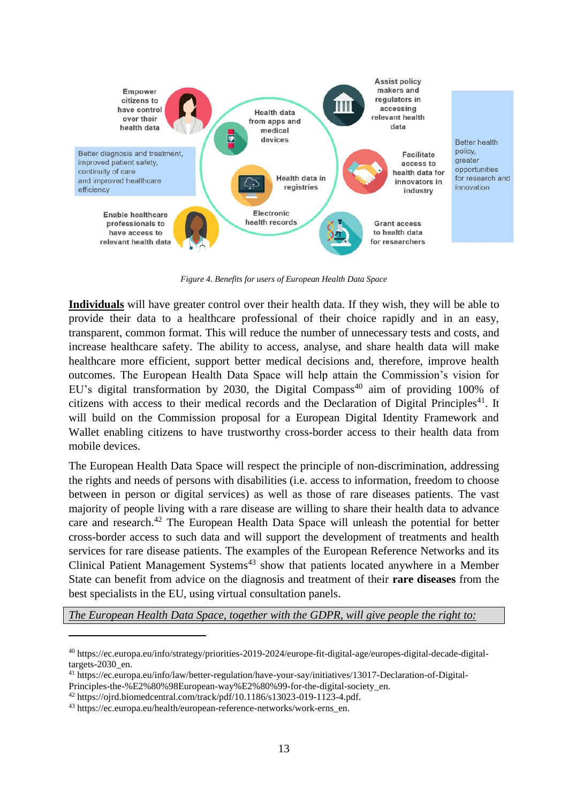

*Figure 4. Benefits for users of European Health Data Space*

**Individuals** will have greater control over their health data. If they wish, they will be able to provide their data to a healthcare professional of their choice rapidly and in an easy, transparent, common format. This will reduce the number of unnecessary tests and costs, and increase healthcare safety. The ability to access, analyse, and share health data will make healthcare more efficient, support better medical decisions and, therefore, improve health outcomes. The European Health Data Space will help attain the Commission's vision for EU's digital transformation by 2030, the Digital Compass<sup>40</sup> aim of providing 100% of citizens with access to their medical records and the Declaration of Digital Principles<sup>41</sup>. It will build on the Commission proposal for a European Digital Identity Framework and Wallet enabling citizens to have trustworthy cross-border access to their health data from mobile devices.

The European Health Data Space will respect the principle of non-discrimination, addressing the rights and needs of persons with disabilities (i.e. access to information, freedom to choose between in person or digital services) as well as those of rare diseases patients. The vast majority of people living with a rare disease are willing to share their health data to advance care and research.<sup>42</sup> The European Health Data Space will unleash the potential for better cross-border access to such data and will support the development of treatments and health services for rare disease patients. The examples of the European Reference Networks and its Clinical Patient Management Systems<sup>43</sup> show that patients located anywhere in a Member State can benefit from advice on the diagnosis and treatment of their **rare diseases** from the best specialists in the EU, using virtual consultation panels.

*The European Health Data Space, together with the GDPR, will give people the right to:*

<sup>40</sup> https://ec.europa.eu/info/strategy/priorities-2019-2024/europe-fit-digital-age/europes-digital-decade-digitaltargets-2030\_en.

<sup>41</sup> [https://ec.europa.eu/info/law/better-regulation/have-your-say/initiatives/13017-Declaration-of-Digital-](https://ec.europa.eu/info/law/better-regulation/have-your-say/initiatives/13017-Declaration-of-Digital-Principles-the-%E2%80%98European-way%E2%80%99-for-the-digital-society_en)

[Principles-the-%E2%80%98European-way%E2%80%99-for-the-digital-society\\_en.](https://ec.europa.eu/info/law/better-regulation/have-your-say/initiatives/13017-Declaration-of-Digital-Principles-the-%E2%80%98European-way%E2%80%99-for-the-digital-society_en)

 $42$  [https://ojrd.biomedcentral.com/track/pdf/10.1186/s13023-019-1123-4.pdf.](https://ojrd.biomedcentral.com/track/pdf/10.1186/s13023-019-1123-4.pdf)

<sup>43</sup> [https://ec.europa.eu/health/european-reference-networks/work-erns\\_en.](https://ec.europa.eu/health/european-reference-networks/work-erns_en)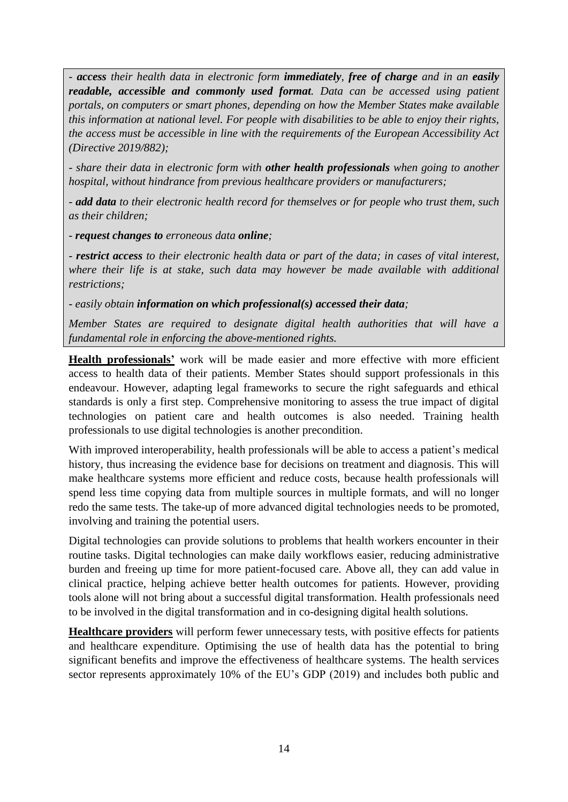*- access their health data in electronic form immediately, free of charge and in an easily readable, accessible and commonly used format. Data can be accessed using patient portals, on computers or smart phones, depending on how the Member States make available this information at national level. For people with disabilities to be able to enjoy their rights, the access must be accessible in line with the requirements of the European Accessibility Act (Directive 2019/882);*

*- share their data in electronic form with other health professionals when going to another hospital, without hindrance from previous healthcare providers or manufacturers;*

*- add data to their electronic health record for themselves or for people who trust them, such as their children;* 

*- request changes to erroneous data online;*

*- restrict access to their electronic health data or part of the data; in cases of vital interest, where their life is at stake, such data may however be made available with additional restrictions;*

*- easily obtain information on which professional(s) accessed their data;*

*Member States are required to designate digital health authorities that will have a fundamental role in enforcing the above-mentioned rights.*

**Health professionals'** work will be made easier and more effective with more efficient access to health data of their patients. Member States should support professionals in this endeavour. However, adapting legal frameworks to secure the right safeguards and ethical standards is only a first step. Comprehensive monitoring to assess the true impact of digital technologies on patient care and health outcomes is also needed. Training health professionals to use digital technologies is another precondition.

With improved interoperability, health professionals will be able to access a patient's medical history, thus increasing the evidence base for decisions on treatment and diagnosis. This will make healthcare systems more efficient and reduce costs, because health professionals will spend less time copying data from multiple sources in multiple formats, and will no longer redo the same tests. The take-up of more advanced digital technologies needs to be promoted, involving and training the potential users.

Digital technologies can provide solutions to problems that health workers encounter in their routine tasks. Digital technologies can make daily workflows easier, reducing administrative burden and freeing up time for more patient-focused care. Above all, they can add value in clinical practice, helping achieve better health outcomes for patients. However, providing tools alone will not bring about a successful digital transformation. Health professionals need to be involved in the digital transformation and in co-designing digital health solutions.

**Healthcare providers** will perform fewer unnecessary tests, with positive effects for patients and healthcare expenditure. Optimising the use of health data has the potential to bring significant benefits and improve the effectiveness of healthcare systems. The health services sector represents approximately 10% of the EU's GDP (2019) and includes both public and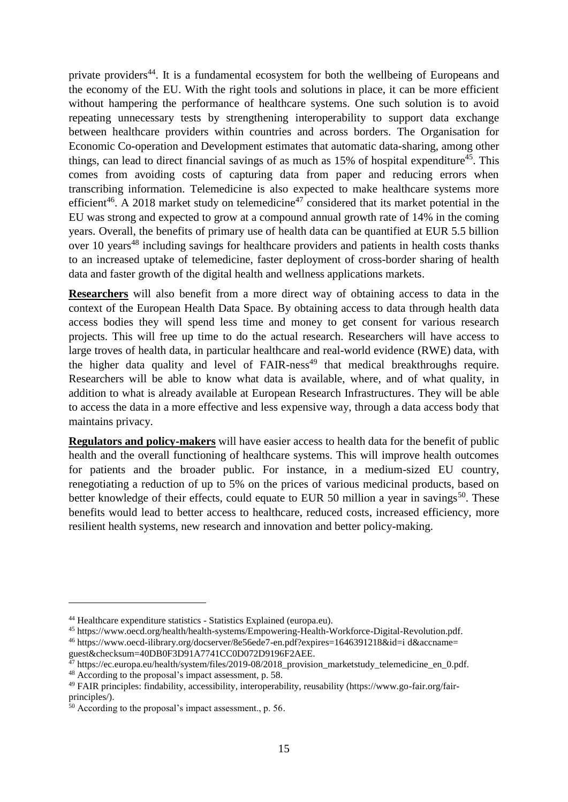private providers<sup>44</sup>. It is a fundamental ecosystem for both the wellbeing of Europeans and the economy of the EU. With the right tools and solutions in place, it can be more efficient without hampering the performance of healthcare systems. One such solution is to avoid repeating unnecessary tests by strengthening interoperability to support data exchange between healthcare providers within countries and across borders. The Organisation for Economic Co-operation and Development estimates that automatic data-sharing, among other things, can lead to direct financial savings of as much as 15% of hospital expenditure<sup>45</sup>. This comes from avoiding costs of capturing data from paper and reducing errors when transcribing information. Telemedicine is also expected to make healthcare systems more efficient<sup>46</sup>. A 2018 market study on telemedicine<sup>47</sup> considered that its market potential in the EU was strong and expected to grow at a compound annual growth rate of 14% in the coming years. Overall, the benefits of primary use of health data can be quantified at EUR 5.5 billion over 10 years<sup>48</sup> including savings for healthcare providers and patients in health costs thanks to an increased uptake of telemedicine, faster deployment of cross-border sharing of health data and faster growth of the digital health and wellness applications markets.

**Researchers** will also benefit from a more direct way of obtaining access to data in the context of the European Health Data Space. By obtaining access to data through health data access bodies they will spend less time and money to get consent for various research projects. This will free up time to do the actual research. Researchers will have access to large troves of health data, in particular healthcare and real-world evidence (RWE) data, with the higher data quality and level of  $FAIRness<sup>49</sup>$  that medical breakthroughs require. Researchers will be able to know what data is available, where, and of what quality, in addition to what is already available at European Research Infrastructures. They will be able to access the data in a more effective and less expensive way, through a data access body that maintains privacy.

**Regulators and policy-makers** will have easier access to health data for the benefit of public health and the overall functioning of healthcare systems. This will improve health outcomes for patients and the broader public. For instance, in a medium-sized EU country, renegotiating a reduction of up to 5% on the prices of various medicinal products, based on better knowledge of their effects, could equate to EUR 50 million a year in savings<sup>50</sup>. These benefits would lead to better access to healthcare, reduced costs, increased efficiency, more resilient health systems, new research and innovation and better policy-making.

1

<sup>44</sup> Healthcare expenditure statistics - Statistics Explained (europa.eu).

<sup>45</sup> https://www.oecd.org/health/health-systems/Empowering-Health-Workforce-Digital-Revolution.pdf.

<sup>46</sup> <https://www.oecd-ilibrary.org/docserver/8e56ede7-en.pdf?expires=1646391218&id=i> d&accname= guest&checksum=40DB0F3D91A7741CC0D072D9196F2AEE.

 $^{47}$  https://ec.europa.eu/health/system/files/2019-08/2018 provision marketstudy telemedicine en 0.pdf.

<sup>&</sup>lt;sup>48</sup> According to the proposal's impact assessment, p. 58.

<sup>49</sup> FAIR principles: findability, accessibility, interoperability, reusability (https://www.go-fair.org/fairprinciples/).

<sup>50</sup> According to the proposal's impact assessment., p. 56.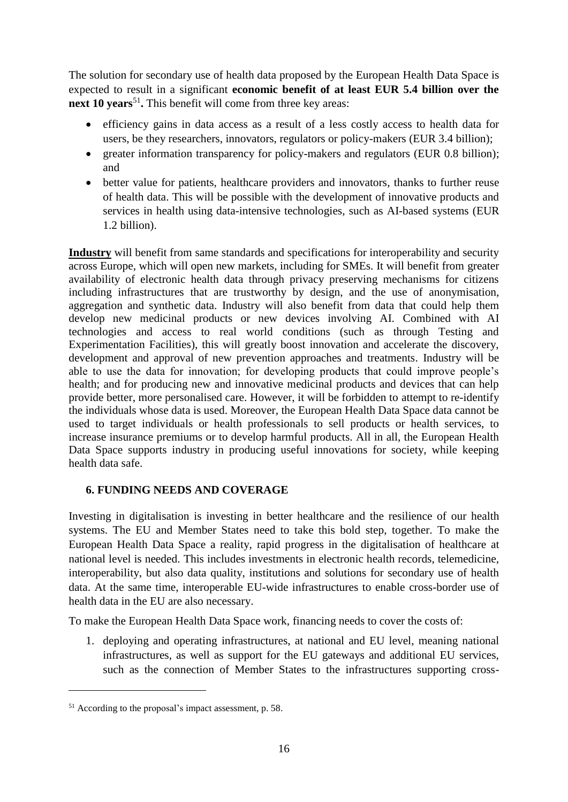The solution for secondary use of health data proposed by the European Health Data Space is expected to result in a significant **economic benefit of at least EUR 5.4 billion over the**  next 10 years<sup>51</sup>. This benefit will come from three key areas:

- efficiency gains in data access as a result of a less costly access to health data for users, be they researchers, innovators, regulators or policy-makers (EUR 3.4 billion);
- greater information transparency for policy-makers and regulators (EUR 0.8 billion); and
- better value for patients, healthcare providers and innovators, thanks to further reuse of health data. This will be possible with the development of innovative products and services in health using data-intensive technologies, such as AI-based systems (EUR 1.2 billion).

**Industry** will benefit from same standards and specifications for interoperability and security across Europe, which will open new markets, including for SMEs. It will benefit from greater availability of electronic health data through privacy preserving mechanisms for citizens including infrastructures that are trustworthy by design, and the use of anonymisation, aggregation and synthetic data. Industry will also benefit from data that could help them develop new medicinal products or new devices involving AI. Combined with AI technologies and access to real world conditions (such as through Testing and Experimentation Facilities), this will greatly boost innovation and accelerate the discovery, development and approval of new prevention approaches and treatments. Industry will be able to use the data for innovation; for developing products that could improve people's health; and for producing new and innovative medicinal products and devices that can help provide better, more personalised care. However, it will be forbidden to attempt to re-identify the individuals whose data is used. Moreover, the European Health Data Space data cannot be used to target individuals or health professionals to sell products or health services, to increase insurance premiums or to develop harmful products. All in all, the European Health Data Space supports industry in producing useful innovations for society, while keeping health data safe.

# **6. FUNDING NEEDS AND COVERAGE**

Investing in digitalisation is investing in better healthcare and the resilience of our health systems. The EU and Member States need to take this bold step, together. To make the European Health Data Space a reality, rapid progress in the digitalisation of healthcare at national level is needed. This includes investments in electronic health records, telemedicine, interoperability, but also data quality, institutions and solutions for secondary use of health data. At the same time, interoperable EU-wide infrastructures to enable cross-border use of health data in the EU are also necessary.

To make the European Health Data Space work, financing needs to cover the costs of:

1. deploying and operating infrastructures, at national and EU level, meaning national infrastructures, as well as support for the EU gateways and additional EU services, such as the connection of Member States to the infrastructures supporting cross-

1

<sup>51</sup> According to the proposal's impact assessment, p. 58.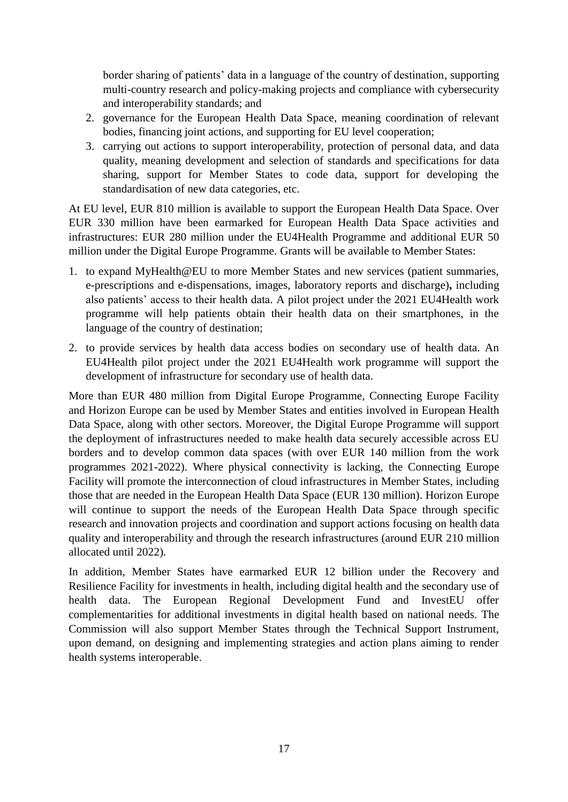border sharing of patients' data in a language of the country of destination, supporting multi-country research and policy-making projects and compliance with cybersecurity and interoperability standards; and

- 2. governance for the European Health Data Space, meaning coordination of relevant bodies, financing joint actions, and supporting for EU level cooperation;
- 3. carrying out actions to support interoperability, protection of personal data, and data quality, meaning development and selection of standards and specifications for data sharing, support for Member States to code data, support for developing the standardisation of new data categories, etc.

At EU level, EUR 810 million is available to support the European Health Data Space. Over EUR 330 million have been earmarked for European Health Data Space activities and infrastructures: EUR 280 million under the EU4Health Programme and additional EUR 50 million under the Digital Europe Programme. Grants will be available to Member States:

- 1. to expand MyHealth@EU to more Member States and new services (patient summaries, e-prescriptions and e-dispensations, images, laboratory reports and discharge)**,** including also patients' access to their health data. A pilot project under the 2021 EU4Health work programme will help patients obtain their health data on their smartphones, in the language of the country of destination;
- 2. to provide services by health data access bodies on secondary use of health data. An EU4Health pilot project under the 2021 EU4Health work programme will support the development of infrastructure for secondary use of health data.

More than EUR 480 million from Digital Europe Programme, Connecting Europe Facility and Horizon Europe can be used by Member States and entities involved in European Health Data Space, along with other sectors. Moreover, the Digital Europe Programme will support the deployment of infrastructures needed to make health data securely accessible across EU borders and to develop common data spaces (with over EUR 140 million from the work programmes 2021-2022). Where physical connectivity is lacking, the Connecting Europe Facility will promote the interconnection of cloud infrastructures in Member States, including those that are needed in the European Health Data Space (EUR 130 million). Horizon Europe will continue to support the needs of the European Health Data Space through specific research and innovation projects and coordination and support actions focusing on health data quality and interoperability and through the research infrastructures (around EUR 210 million allocated until 2022).

In addition, Member States have earmarked EUR 12 billion under the Recovery and Resilience Facility for investments in health, including digital health and the secondary use of health data. The European Regional Development Fund and InvestEU offer complementarities for additional investments in digital health based on national needs. The Commission will also support Member States through the Technical Support Instrument, upon demand, on designing and implementing strategies and action plans aiming to render health systems interoperable.